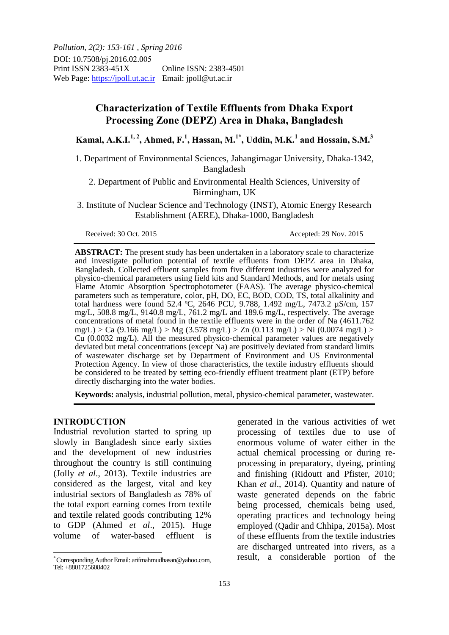*Pollution, 2(2): 153-161 , Spring 2016* DOI: 10.7508/pj.2016.02.005 Print ISSN 2383-451X Online ISSN: 2383-4501 Web Page: https://jpoll.ut.ac.ir Email: jpoll@ut.ac.ir

# **Characterization of Textile Effluents from Dhaka Export Processing Zone (DEPZ) Area in Dhaka, Bangladesh**

**Kamal, A.K.I.1, 2, Ahmed, F.<sup>1</sup> , Hassan, M.1\*, Uddin, M.K.<sup>1</sup> and Hossain, S.M.<sup>3</sup>**

1. Department of Environmental Sciences, Jahangirnagar University, Dhaka-1342, Bangladesh

2. Department of Public and Environmental Health Sciences, University of Birmingham, UK

3. Institute of Nuclear Science and Technology (INST), Atomic Energy Research Establishment (AERE), Dhaka-1000, Bangladesh

**ABSTRACT:** The present study has been undertaken in a laboratory scale to characterize and investigate pollution potential of textile effluents from DEPZ area in Dhaka, Bangladesh. Collected effluent samples from five different industries were analyzed for physico-chemical parameters using field kits and Standard Methods, and for metals using Flame Atomic Absorption Spectrophotometer (FAAS). The average physico-chemical parameters such as temperature, color, pH, DO, EC, BOD, COD, TS, total alkalinity and total hardness were found 52.4 ºC, 2646 PCU, 9.788, 1.492 mg/L, 7473.2 µS/cm, 157 mg/L, 508.8 mg/L, 9140.8 mg/L, 761.2 mg/L and 189.6 mg/L, respectively. The average concentrations of metal found in the textile effluents were in the order of Na (4611.762 mg/L) > Ca (9.166 mg/L) > Mg (3.578 mg/L) > Zn (0.113 mg/L) > Ni (0.0074 mg/L) > Cu (0.0032 mg/L). All the measured physico-chemical parameter values are negatively deviated but metal concentrations (except Na) are positively deviated from standard limits of wastewater discharge set by Department of Environment and US Environmental Protection Agency. In view of those characteristics, the textile industry effluents should be considered to be treated by setting eco-friendly effluent treatment plant (ETP) before directly discharging into the water bodies.

**Keywords:** analysis, industrial pollution, metal, physico-chemical parameter, wastewater.

#### **INTRODUCTION**

 $\overline{a}$ 

Industrial revolution started to spring up slowly in Bangladesh since early sixties and the development of new industries throughout the country is still continuing (Jolly *et al*., 2013). Textile industries are considered as the largest, vital and key industrial sectors of Bangladesh as 78% of the total export earning comes from textile and textile related goods contributing 12% to GDP (Ahmed *et al*., 2015). Huge volume of water-based effluent is

generated in the various activities of wet processing of textiles due to use of enormous volume of water either in the actual chemical processing or during reprocessing in preparatory, dyeing, printing and finishing (Ridoutt and Pfister, 2010; Khan *et al*., 2014). Quantity and nature of waste generated depends on the fabric being processed, chemicals being used, operating practices and technology being employed (Qadir and Chhipa, 2015a). Most of these effluents from the textile industries are discharged untreated into rivers, as a result, a considerable portion of the

Received: 30 Oct. 2015 Accepted: 29 Nov. 2015

<sup>\*</sup> Corresponding Author Email: arifmahmudhasan@yahoo.com, Tel: +8801725608402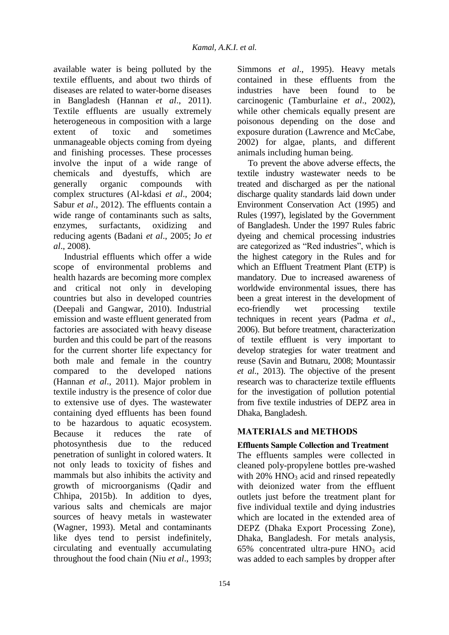available water is being polluted by the textile effluents, and about two thirds of diseases are related to water-borne diseases in Bangladesh (Hannan *et al*., 2011). Textile effluents are usually extremely heterogeneous in composition with a large extent of toxic and sometimes unmanageable objects coming from dyeing and finishing processes. These processes involve the input of a wide range of chemicals and dyestuffs, which are generally organic compounds with complex structures (Al-kdasi *et al*., 2004; Sabur *et al*., 2012). The effluents contain a wide range of contaminants such as salts, enzymes, surfactants, oxidizing and reducing agents (Badani *et al*., 2005; Jo *et al*., 2008).

Industrial effluents which offer a wide scope of environmental problems and health hazards are becoming more complex and critical not only in developing countries but also in developed countries (Deepali and Gangwar, 2010). Industrial emission and waste effluent generated from factories are associated with heavy disease burden and this could be part of the reasons for the current shorter life expectancy for both male and female in the country compared to the developed nations (Hannan *et al*., 2011). Major problem in textile industry is the presence of color due to extensive use of dyes. The wastewater containing dyed effluents has been found to be hazardous to aquatic ecosystem. Because it reduces the rate of photosynthesis due to the reduced penetration of sunlight in colored waters. It not only leads to toxicity of fishes and mammals but also inhibits the activity and growth of microorganisms (Qadir and Chhipa, 2015b). In addition to dyes, various salts and chemicals are major sources of heavy metals in wastewater (Wagner, 1993). Metal and contaminants like dyes tend to persist indefinitely, circulating and eventually accumulating throughout the food chain (Niu *et al*., 1993;

Simmons *et al*., 1995). Heavy metals contained in these effluents from the industries have been found to be carcinogenic (Tamburlaine *et al*., 2002), while other chemicals equally present are poisonous depending on the dose and exposure duration (Lawrence and McCabe, 2002) for algae, plants, and different animals including human being.

To prevent the above adverse effects, the textile industry wastewater needs to be treated and discharged as per the national discharge quality standards laid down under Environment Conservation Act (1995) and Rules (1997), legislated by the Government of Bangladesh. Under the 1997 Rules fabric dyeing and chemical processing industries are categorized as "Red industries", which is the highest category in the Rules and for which an Effluent Treatment Plant (ETP) is mandatory. Due to increased awareness of worldwide environmental issues, there has been a great interest in the development of eco-friendly wet processing textile techniques in recent years (Padma *et al*., 2006). But before treatment, characterization of textile effluent is very important to develop strategies for water treatment and reuse (Savin and Butnaru, 2008; Mountassir *et al*., 2013). The objective of the present research was to characterize textile effluents for the investigation of pollution potential from five textile industries of DEPZ area in Dhaka, Bangladesh.

# **MATERIALS and METHODS**

# **Effluents Sample Collection and Treatment**

The effluents samples were collected in cleaned poly-propylene bottles pre-washed with  $20\%$  HNO<sub>3</sub> acid and rinsed repeatedly with deionized water from the effluent outlets just before the treatment plant for five individual textile and dying industries which are located in the extended area of DEPZ (Dhaka Export Processing Zone), Dhaka, Bangladesh. For metals analysis,  $65\%$  concentrated ultra-pure  $HNO<sub>3</sub>$  acid was added to each samples by dropper after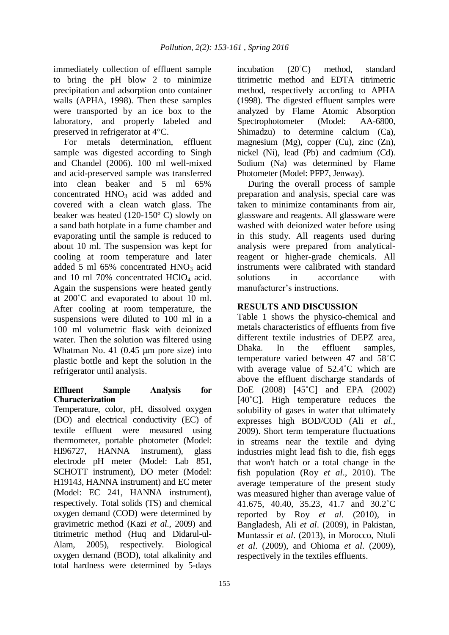immediately collection of effluent sample to bring the pH blow 2 to minimize precipitation and adsorption onto container walls (APHA, 1998). Then these samples were transported by an ice box to the laboratory, and properly labeled and preserved in refrigerator at 4°C.

For metals determination, effluent sample was digested according to Singh and Chandel (2006). 100 ml well-mixed and acid-preserved sample was transferred into clean beaker and 5 ml 65% concentrated  $HNO<sub>3</sub>$  acid was added and covered with a clean watch glass. The beaker was heated (120-150º C) slowly on a sand bath hotplate in a fume chamber and evaporating until the sample is reduced to about 10 ml. The suspension was kept for cooling at room temperature and later added 5 ml 65% concentrated HNO<sub>3</sub> acid and 10 ml 70% concentrated HClO<sub>4</sub> acid. Again the suspensions were heated gently at 200˚C and evaporated to about 10 ml. After cooling at room temperature, the suspensions were diluted to 100 ml in a 100 ml volumetric flask with deionized water. Then the solution was filtered using Whatman No. 41 (0.45 μm pore size) into plastic bottle and kept the solution in the refrigerator until analysis.

### **Effluent Sample Analysis for Characterization**

Temperature, color, pH, dissolved oxygen (DO) and electrical conductivity (EC) of textile effluent were measured using thermometer, portable photometer (Model: HI96727, HANNA instrument), glass electrode pH meter (Model: Lab 851, SCHOTT instrument), DO meter (Model: H19143, HANNA instrument) and EC meter (Model: EC 241, HANNA instrument), respectively. Total solids (TS) and chemical oxygen demand (COD) were determined by gravimetric method (Kazi *et al*., 2009) and titrimetric method (Huq and Didarul-ul-Alam, 2005), respectively. Biological oxygen demand (BOD), total alkalinity and total hardness were determined by 5-days

incubation (20˚C) method, standard titrimetric method and EDTA titrimetric method, respectively according to APHA (1998). The digested effluent samples were analyzed by Flame Atomic Absorption Spectrophotometer (Model: AA-6800, Shimadzu) to determine calcium (Ca), magnesium (Mg), copper (Cu), zinc (Zn), nickel (Ni), lead (Pb) and cadmium (Cd). Sodium (Na) was determined by Flame Photometer (Model: PFP7, Jenway).

During the overall process of sample preparation and analysis, special care was taken to minimize contaminants from air, glassware and reagents. All glassware were washed with deionized water before using in this study. All reagents used during analysis were prepared from analyticalreagent or higher-grade chemicals. All instruments were calibrated with standard solutions in accordance with manufacturer's instructions.

## **RESULTS AND DISCUSSION**

Table 1 shows the physico-chemical and metals characteristics of effluents from five different textile industries of DEPZ area, Dhaka. In the effluent samples, temperature varied between 47 and 58˚C with average value of 52.4˚C which are above the effluent discharge standards of DoE (2008) [45˚C] and EPA (2002) [40<sup>°</sup>C]. High temperature reduces the solubility of gases in water that ultimately expresses high BOD/COD (Ali *et al*., 2009). Short term temperature fluctuations in streams near the textile and dying industries might lead fish to die, fish eggs that won't hatch or a total change in the fish population (Roy *et al*., 2010). The average temperature of the present study was measured higher than average value of 41.675, 40.40, 35.23, 41.7 and 30.2˚C reported by Roy *et al*. (2010), in Bangladesh, Ali *et al*. (2009), in Pakistan, Muntassir *et al*. (2013), in Morocco, Ntuli *et al*. (2009), and Ohioma *et al*. (2009), respectively in the textiles effluents.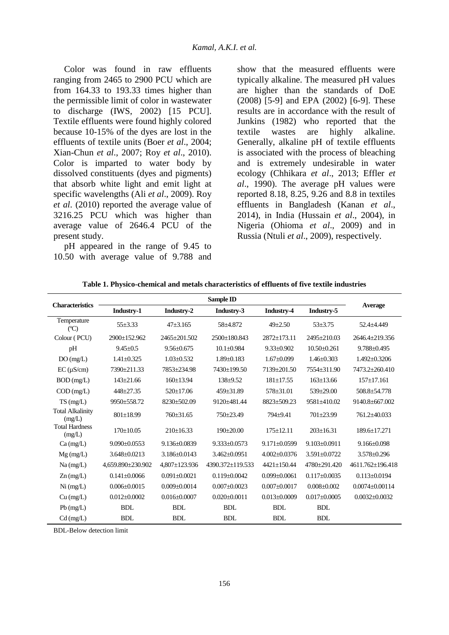Color was found in raw effluents ranging from 2465 to 2900 PCU which are from 164.33 to 193.33 times higher than the permissible limit of color in wastewater to discharge (IWS, 2002) [15 PCU]. Textile effluents were found highly colored because 10-15% of the dyes are lost in the effluents of textile units (Boer *et al*., 2004; Xian-Chun *et al*., 2007; Roy *et al*., 2010). Color is imparted to water body by dissolved constituents (dyes and pigments) that absorb white light and emit light at specific wavelengths (Ali *et al*., 2009). Roy *et al*. (2010) reported the average value of 3216.25 PCU which was higher than average value of 2646.4 PCU of the present study.

pH appeared in the range of 9.45 to 10.50 with average value of 9.788 and show that the measured effluents were typically alkaline. The measured pH values are higher than the standards of DoE (2008) [5-9] and EPA (2002) [6-9]. These results are in accordance with the result of Junkins (1982) who reported that the textile wastes are highly alkaline. Generally, alkaline pH of textile effluents is associated with the process of bleaching and is extremely undesirable in water ecology (Chhikara *et al*., 2013; Effler *et al*., 1990). The average pH values were reported 8.18, 8.25, 9.26 and 8.8 in textiles effluents in Bangladesh (Kanan *et al*., 2014), in India (Hussain *et al*., 2004), in Nigeria (Ohioma *et al*., 2009) and in Russia (Ntuli *et al*., 2009), respectively.

| <b>Characteristics</b>            | Sample ID          |                     |                    |                    |                    |                      |
|-----------------------------------|--------------------|---------------------|--------------------|--------------------|--------------------|----------------------|
|                                   | Industry-1         | Industry-2          | Industry-3         | Industry-4         | Industry-5         | Average              |
| Temperature<br>(C)                | $55 + 3.33$        | $47 + 3.165$        | 58±4.872           | $49 \pm 2.50$      | $53 + 3.75$        | 52.4±4.449           |
| Colour (PCU)                      | 2900±152.962       | 2465±201.502        | 2500±180.843       | $2872+173.11$      | 2495±210.03        | 2646.4+219.356       |
| pH                                | $9.45 + 0.5$       | $9.56 \pm 0.675$    | $10.1 + 0.984$     | $9.33 \pm 0.902$   | $10.50 + 0.261$    | $9.788 + 0.495$      |
| DO(mg/L)                          | $1.41 \pm 0.325$   | $1.03 \pm 0.532$    | $1.89 \pm 0.183$   | $1.67 \pm 0.099$   | $1.46 + 0.303$     | $1.492 \pm 0.3206$   |
| $EC (\mu S/cm)$                   | 7390±211.33        | 7853±234.98         | 7430±199.50        | 7139+201.50        | 7554+311.90        | 7473.2+260.410       |
| $BOD$ (mg/L)                      | $143 \pm 21.66$    | $160 \pm 13.94$     | $138+9.52$         | $181 \pm 17.55$    | $163 \pm 13.66$    | $157 \pm 17.161$     |
| $COD$ (mg/L)                      | $448 + 27.35$      | $520 \pm 17.06$     | $459 \pm 31.89$    | $578 \pm 31.01$    | $539 \pm 29.00$    | 508.8±54.778         |
| TS(mg/L)                          | 9950±558.72        | 8230±502.09         | 9120±481.44        | $8823 \pm 509.23$  | 9581±410.02        | 9140.8±667.002       |
| <b>Total Alkalinity</b><br>(mg/L) | $801 \pm 18.99$    | $760 \pm 31.65$     | $750+23.49$        | $794 + 9.41$       | $701 + 23.99$      | 761.2±40.033         |
| <b>Total Hardness</b><br>(mg/L)   | $170 \pm 10.05$    | $210 \pm 16.33$     | $190+20.00$        | $175 \pm 12.11$    | $203+16.31$        | $189.6 + 17.271$     |
| $Ca$ (mg/L)                       | $9.090 \pm 0.0553$ | $9.136 \pm 0.0839$  | $9.333 \pm 0.0573$ | $9.171 \pm 0.0599$ | $9.103 \pm 0.0911$ | $9.166 + 0.098$      |
| $Mg$ (mg/L)                       | $3.648 + 0.0213$   | $3.186 + 0.0143$    | $3.462 + 0.0951$   | $4.002 + 0.0376$   | $3.591 + 0.0722$   | $3.578 \pm 0.296$    |
| $Na$ (mg/L)                       | 4.659.890±230.902  | $4.807 \pm 123.936$ | 4390.372+119.533   | $4421 + 150.44$    | 4780+291.420       | 4611.762+196.418     |
| $Zn$ (mg/L)                       | $0.141 \pm 0.0066$ | $0.091 \pm 0.0021$  | $0.119 + 0.0042$   | $0.099 \pm 0.0061$ | $0.117 \pm 0.0035$ | $0.113 \pm 0.0194$   |
| Ni (mg/L)                         | $0.006 \pm 0.0015$ | $0.009 \pm 0.0014$  | $0.007 \pm 0.0023$ | $0.007 \pm 0.0017$ | $0.008 \pm 0.002$  | $0.0074 \pm 0.00114$ |
| $Cu$ (mg/L)                       | $0.012 \pm 0.0002$ | $0.016 \pm 0.0007$  | $0.020 \pm 0.0011$ | $0.013 \pm 0.0009$ | $0.017 \pm 0.0005$ | $0.0032 \pm 0.0032$  |
| $Pb$ (mg/L)                       | <b>BDL</b>         | <b>BDL</b>          | <b>BDL</b>         | <b>BDL</b>         | <b>BDL</b>         |                      |
| $Cd$ (mg/L)                       | <b>BDL</b>         | <b>BDL</b>          | <b>BDL</b>         | <b>BDL</b>         | <b>BDL</b>         |                      |

**Table 1. Physico-chemical and metals characteristics of effluents of five textile industries**

BDL-Below detection limit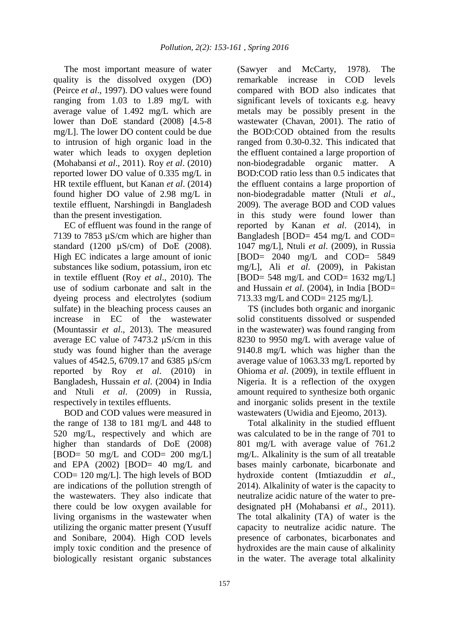The most important measure of water quality is the dissolved oxygen (DO) (Peirce *et al*., 1997). DO values were found ranging from 1.03 to 1.89 mg/L with average value of 1.492 mg/L which are lower than DoE standard (2008) [4.5-8 mg/L]. The lower DO content could be due to intrusion of high organic load in the water which leads to oxygen depletion (Mohabansi *et al*., 2011). Roy *et al*. (2010) reported lower DO value of 0.335 mg/L in HR textile effluent, but Kanan *et al*. (2014) found higher DO value of 2.98 mg/L in textile effluent, Narshingdi in Bangladesh than the present investigation.

EC of effluent was found in the range of 7139 to 7853 µS/cm which are higher than standard  $(1200 \text{ }\mu\text{S/cm})$  of DoE  $(2008)$ . High EC indicates a large amount of ionic substances like sodium, potassium, iron etc in textile effluent (Roy *et al*., 2010). The use of sodium carbonate and salt in the dyeing process and electrolytes (sodium sulfate) in the bleaching process causes an increase in EC of the wastewater (Mountassir *et al*., 2013). The measured average EC value of 7473.2 µS/cm in this study was found higher than the average values of 4542.5, 6709.17 and 6385 µS/cm reported by Roy *et al*. (2010) in Bangladesh, Hussain *et al*. (2004) in India and Ntuli *et al*. (2009) in Russia, respectively in textiles effluents.

BOD and COD values were measured in the range of 138 to 181 mg/L and 448 to 520 mg/L, respectively and which are higher than standards of DoE (2008)  $[BOD= 50 \text{ mg/L} \text{ and } COD= 200 \text{ mg/L}]$ and EPA (2002) [BOD= 40 mg/L and COD= 120 mg/L]. The high levels of BOD are indications of the pollution strength of the wastewaters. They also indicate that there could be low oxygen available for living organisms in the wastewater when utilizing the organic matter present (Yusuff and Sonibare, 2004). High COD levels imply toxic condition and the presence of biologically resistant organic substances

(Sawyer and McCarty, 1978). The<br>remarkable increase in COD levels increase in COD levels compared with BOD also indicates that significant levels of toxicants e.g. heavy metals may be possibly present in the wastewater (Chavan, 2001). The ratio of the BOD:COD obtained from the results ranged from 0.30-0.32. This indicated that the effluent contained a large proportion of non-biodegradable organic matter. A BOD:COD ratio less than 0.5 indicates that the effluent contains a large proportion of non-biodegradable matter (Ntuli *et al*., 2009). The average BOD and COD values in this study were found lower than reported by Kanan *et al*. (2014), in Bangladesh [BOD= 454 mg/L and COD= 1047 mg/L], Ntuli *et al*. (2009), in Russia [BOD= 2040 mg/L and COD= 5849 mg/L], Ali *et al*. (2009), in Pakistan [BOD= 548 mg/L and COD=  $1632 \text{ mg/L}$ ] and Hussain *et al*. (2004), in India [BOD= 713.33 mg/L and COD= 2125 mg/L].

TS (includes both organic and inorganic solid constituents dissolved or suspended in the wastewater) was found ranging from 8230 to 9950 mg/L with average value of 9140.8 mg/L which was higher than the average value of 1063.33 mg/L reported by Ohioma *et al*. (2009), in textile effluent in Nigeria. It is a reflection of the oxygen amount required to synthesize both organic and inorganic solids present in the textile wastewaters (Uwidia and Ejeomo, 2013).

Total alkalinity in the studied effluent was calculated to be in the range of 701 to 801 mg/L with average value of 761.2 mg/L. Alkalinity is the sum of all treatable bases mainly carbonate, bicarbonate and hydroxide content (Imtiazuddin *et al*., 2014). Alkalinity of water is the capacity to neutralize acidic nature of the water to predesignated pH (Mohabansi *et al*., 2011). The total alkalinity (TA) of water is the capacity to neutralize acidic nature. The presence of carbonates, bicarbonates and hydroxides are the main cause of alkalinity in the water. The average total alkalinity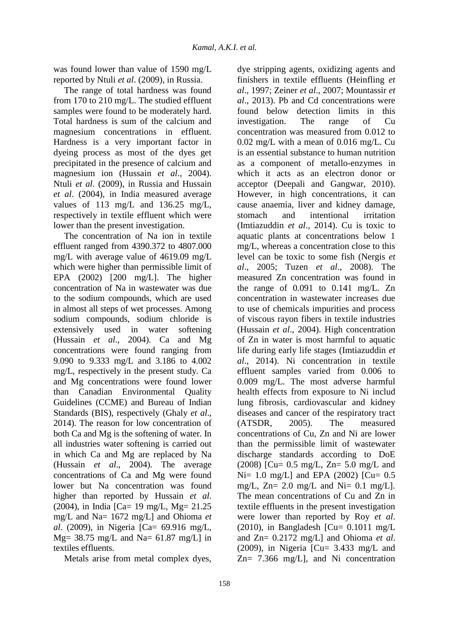was found lower than value of 1590 mg/L reported by Ntuli *et al*. (2009), in Russia.

The range of total hardness was found from 170 to 210 mg/L. The studied effluent samples were found to be moderately hard. Total hardness is sum of the calcium and magnesium concentrations in effluent. Hardness is a very important factor in dyeing process as most of the dyes get precipitated in the presence of calcium and magnesium ion (Hussain *et al*., 2004). Ntuli *et al*. (2009), in Russia and Hussain *et al*. (2004), in India measured average values of 113 mg/L and 136.25 mg/L, respectively in textile effluent which were lower than the present investigation.

The concentration of Na ion in textile effluent ranged from 4390.372 to 4807.000 mg/L with average value of 4619.09 mg/L which were higher than permissible limit of EPA (2002) [200 mg/L]. The higher concentration of Na in wastewater was due to the sodium compounds, which are used in almost all steps of wet processes. Among sodium compounds, sodium chloride is extensively used in water softening (Hussain *et al*., 2004). Ca and Mg concentrations were found ranging from 9.090 to 9.333 mg/L and 3.186 to 4.002 mg/L, respectively in the present study. Ca and Mg concentrations were found lower than Canadian Environmental Quality Guidelines (CCME) and Bureau of Indian Standards (BIS), respectively (Ghaly *et al*., 2014). The reason for low concentration of both Ca and Mg is the softening of water. In all industries water softening is carried out in which Ca and Mg are replaced by Na (Hussain *et al*., 2004). The average concentrations of Ca and Mg were found lower but Na concentration was found higher than reported by Hussain *et al*. (2004), in India [Ca= 19 mg/L, Mg= 21.25 mg/L and Na= 1672 mg/L] and Ohioma *et al*. (2009), in Nigeria [Ca= 69.916 mg/L,  $Mg = 38.75$  mg/L and Na= 61.87 mg/L] in textiles effluents.

Metals arise from metal complex dyes,

dye stripping agents, oxidizing agents and finishers in textile effluents (Heinfling *et al*., 1997; Zeiner *et al*., 2007; Mountassir *et al*., 2013). Pb and Cd concentrations were found below detection limits in this investigation. The range of Cu concentration was measured from 0.012 to 0.02 mg/L with a mean of 0.016 mg/L. Cu is an essential substance to human nutrition as a component of metallo-enzymes in which it acts as an electron donor or acceptor (Deepali and Gangwar, 2010). However, in high concentrations, it can cause anaemia, liver and kidney damage, stomach and intentional irritation (Imtiazuddin *et al*., 2014). Cu is toxic to aquatic plants at concentrations below 1 mg/L, whereas a concentration close to this level can be toxic to some fish (Nergis *et al*., 2005; Tuzen *et al*., 2008). The measured Zn concentration was found in the range of  $0.091$  to  $0.141$  mg/L. Zn concentration in wastewater increases due to use of chemicals impurities and process of viscous rayon fibers in textile industries (Hussain *et al*., 2004). High concentration of Zn in water is most harmful to aquatic life during early life stages (Imtiazuddin *et al*., 2014). Ni concentration in textile effluent samples varied from 0.006 to 0.009 mg/L. The most adverse harmful health effects from exposure to Ni includ lung fibrosis, cardiovascular and kidney diseases and cancer of the respiratory tract (ATSDR, 2005). The measured concentrations of Cu, Zn and Ni are lower than the permissible limit of wastewater discharge standards according to DoE (2008) [Cu= 0.5 mg/L, Zn= 5.0 mg/L and  $Ni= 1.0 \text{ mg/L}$  and EPA (2002) [Cu= 0.5 mg/L,  $Zn = 2.0$  mg/L and Ni= 0.1 mg/L]. The mean concentrations of Cu and Zn in textile effluents in the present investigation were lower than reported by Roy *et al*. (2010), in Bangladesh  $\left[ Cu = 0.1011 \right]$  mg/L and Zn= 0.2172 mg/L] and Ohioma *et al*. (2009), in Nigeria  $\lbrack Cu= 3.433 \rbrack$  mg/L and Zn= 7.366 mg/L], and Ni concentration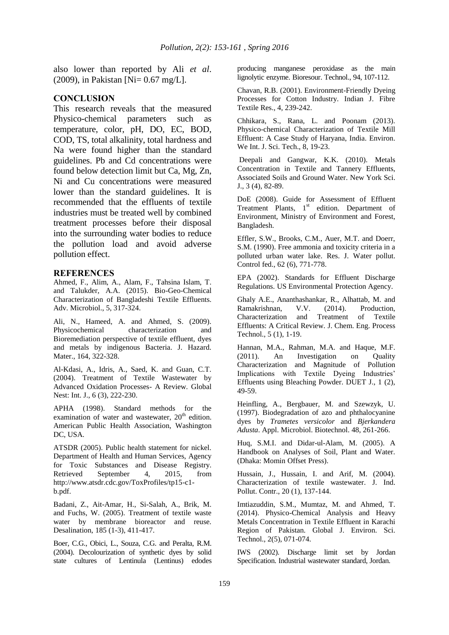also lower than reported by Ali *et al*. (2009), in Pakistan [Ni= 0.67 mg/L].

### **CONCLUSION**

This research reveals that the measured Physico-chemical parameters such as temperature, color, pH, DO, EC, BOD, COD, TS, total alkalinity, total hardness and Na were found higher than the standard guidelines. Pb and Cd concentrations were found below detection limit but Ca, Mg, Zn, Ni and Cu concentrations were measured lower than the standard guidelines. It is recommended that the effluents of textile industries must be treated well by combined treatment processes before their disposal into the surrounding water bodies to reduce the pollution load and avoid adverse pollution effect.

#### **REFERENCES**

Ahmed, F., Alim, A., Alam, F., Tahsina Islam, T. and Talukder, A.A. (2015). Bio-Geo-Chemical Characterization of Bangladeshi Textile Effluents. Adv. Microbiol., 5, 317-324.

Ali, N., Hameed, A. and Ahmed, S. (2009). Physicochemical characterization and Bioremediation perspective of textile effluent, dyes and metals by indigenous Bacteria. J. Hazard. Mater., 164, 322-328.

Al-Kdasi, A., Idris, A., Saed, K. and Guan, C.T. (2004). Treatment of Textile Wastewater by Advanced Oxidation Processes- A Review. Global Nest: Int. J., 6 (3), 222-230.

APHA (1998). Standard methods for the examination of water and wastewater,  $20<sup>th</sup>$  edition. American Public Health Association, Washington DC, USA.

ATSDR (2005). Public health statement for nickel. Department of Health and Human Services, Agency for Toxic Substances and Disease Registry. Retrieved September 4, 2015, from http://www.atsdr.cdc.gov/ToxProfiles/tp15-c1 b.pdf.

Badani, Z., Ait-Amar, H., Si-Salah, A., Brik, M. and Fuchs, W. (2005). Treatment of textile waste water by membrane bioreactor and reuse. Desalination, 185 (1-3), 411-417.

Boer, C.G., Obici, L., Souza, C.G. and Peralta, R.M. (2004). Decolourization of synthetic dyes by solid state cultures of Lentinula (Lentinus) edodes producing manganese peroxidase as the main lignolytic enzyme. Bioresour. Technol., 94, 107-112.

Chavan, R.B. (2001). Environment-Friendly Dyeing Processes for Cotton Industry. Indian J. Fibre Textile Res., 4, 239-242.

Chhikara, S., Rana, L. and Poonam (2013). Physico-chemical Characterization of Textile Mill Effluent: A Case Study of Haryana, India. Environ. We Int. J. Sci. Tech., 8, 19-23.

Deepali and Gangwar, K.K. (2010). Metals Concentration in Textile and Tannery Effluents, Associated Soils and Ground Water. New York Sci. J., 3 (4), 82-89.

DoE (2008). Guide for Assessment of Effluent Treatment Plants,  $1<sup>st</sup>$  edition. Department of Environment, Ministry of Environment and Forest, Bangladesh.

Effler, S.W., Brooks, C.M., Auer, M.T. and Doerr, S.M. (1990). Free ammonia and toxicity criteria in a polluted urban water lake. Res. J. Water pollut. Control fed., 62 (6), 771-778.

EPA (2002). Standards for Effluent Discharge Regulations. US Environmental Protection Agency.

Ghaly A.E., Ananthashankar, R., Alhattab, M. and Ramakrishnan, V.V. (2014). Production, Characterization and Treatment of Textile Effluents: A Critical Review. J. Chem. Eng. Process Technol., 5 (1), 1-19.

Hannan, M.A., Rahman, M.A. and Haque, M.F. (2011). An Investigation on Quality Characterization and Magnitude of Pollution Implications with Textile Dyeing Industries' Effluents using Bleaching Powder. DUET J., 1 (2), 49-59.

Heinfling, A., Bergbauer, M. and Szewzyk, U. (1997). Biodegradation of azo and phthalocyanine dyes by *Trametes versicolor* and *Bjerkandera Adusta*. Appl. Microbiol. Biotechnol. 48, 261-266.

Huq, S.M.I. and Didar-ul-Alam, M. (2005). A Handbook on Analyses of Soil, Plant and Water. (Dhaka: Momin Offset Press).

Hussain, J., Hussain, I. and Arif, M. (2004). Characterization of textile wastewater. J. Ind. Pollut. Contr., 20 (1), 137-144.

Imtiazuddin, S.M., Mumtaz, M. and Ahmed, T. (2014). Physico-Chemical Analysis and Heavy Metals Concentration in Textile Effluent in Karachi Region of Pakistan. Global J. Environ. Sci. Technol., 2(5), 071-074.

IWS (2002). Discharge limit set by Jordan Specification. Industrial wastewater standard, Jordan.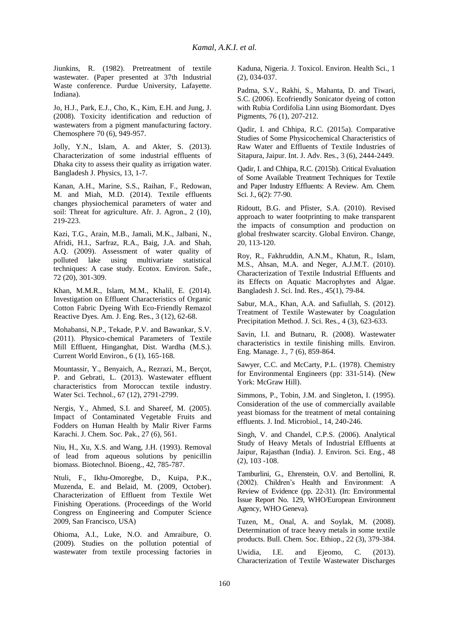Jiunkins, R. (1982). Pretreatment of textile wastewater. (Paper presented at 37th Industrial Waste conference. Purdue University, Lafayette. Indiana).

Jo, H.J., Park, E.J., Cho, K., Kim, E.H. and Jung, J. (2008). Toxicity identification and reduction of wastewaters from a pigment manufacturing factory. Chemosphere 70 (6), 949-957.

Jolly, Y.N., Islam, A. and Akter, S. (2013). Characterization of some industrial effluents of Dhaka city to assess their quality as irrigation water. Bangladesh J. Physics, 13, 1-7.

Kanan, A.H., Marine, S.S., Raihan, F., Redowan, M. and Miah, M.D. (2014). Textile effluents changes physiochemical parameters of water and soil: Threat for agriculture. Afr. J. Agron., 2 (10), 219-223.

Kazi, T.G., Arain, M.B., Jamali, M.K., Jalbani, N., Afridi, H.I., Sarfraz, R.A., Baig, J.A. and Shah, A.Q. (2009). Assessment of water quality of polluted lake using multivariate statistical techniques: A case study. Ecotox. Environ. Safe., 72 (20), 301-309.

Khan, M.M.R., Islam, M.M., Khalil, E. (2014). Investigation on Effluent Characteristics of Organic Cotton Fabric Dyeing With Eco-Friendly Remazol Reactive Dyes. Am. J. Eng. Res., 3 (12), 62-68.

Mohabansi, N.P., Tekade, P.V. and Bawankar, S.V. (2011). Physico-chemical Parameters of Textile Mill Effluent, Hinganghat, Dist. Wardha (M.S.). Current World Environ., 6 (1), 165-168.

Mountassir, Y., Benyaich, A., Rezrazi, M., Berçot, P. and Gebrati, L. (2013). Wastewater effluent characteristics from Moroccan textile industry. Water Sci. Technol., 67 (12), 2791-2799.

Nergis, Y., Ahmed, S.I. and Shareef, M. (2005). Impact of Contaminated Vegetable Fruits and Fodders on Human Health by Malir River Farms Karachi. J. Chem. Soc. Pak., 27 (6), 561.

Niu, H., Xu, X.S. and Wang, J.H. (1993). Removal of lead from aqueous solutions by penicillin biomass. Biotechnol. Bioeng., 42, 785-787.

Ntuli, F., Ikhu-Omoregbe, D., Kuipa, P.K., Muzenda, E. and Belaid, M. (2009, October). Characterization of Effluent from Textile Wet Finishing Operations. (Proceedings of the World Congress on Engineering and Computer Science 2009, San Francisco, USA)

Ohioma, A.I., Luke, N.O. and Amraibure, O. (2009). Studies on the pollution potential of wastewater from textile processing factories in Kaduna, Nigeria. J. Toxicol. Environ. Health Sci., 1 (2), 034-037.

Padma, S.V., Rakhi, S., Mahanta, D. and Tiwari, S.C. (2006). Ecofriendly Sonicator dyeing of cotton with Rubia Cordifolia Linn using Biomordant. Dyes Pigments, 76 (1), 207-212.

Qadir, I. and Chhipa, R.C. (2015a). Comparative Studies of Some Physicochemical Characteristics of Raw Water and Effluents of Textile Industries of Sitapura, Jaipur. Int. J. Adv. Res., 3 (6), 2444-2449.

Qadir, I. and Chhipa, R.C. (2015b). Critical Evaluation of Some Available Treatment Techniques for Textile and Paper Industry Effluents: A Review. Am. Chem. Sci. J., 6(2): 77-90.

Ridoutt, B.G. and Pfister, S.A. (2010). Revised approach to water footprinting to make transparent the impacts of consumption and production on global freshwater scarcity. Global Environ. Change, 20, 113-120.

Roy, R., Fakhruddin, A.N.M., Khatun, R., Islam, M.S., Ahsan, M.A. and Neger, A.J.M.T. (2010). Characterization of Textile Industrial Effluents and its Effects on Aquatic Macrophytes and Algae. Bangladesh J. Sci. Ind. Res., 45(1), 79-84.

Sabur, M.A., Khan, A.A. and Safiullah, S. (2012). Treatment of Textile Wastewater by Coagulation Precipitation Method. J. Sci. Res., 4 (3), 623-633.

Savin, I.I. and Butnaru, R. (2008). Wastewater characteristics in textile finishing mills. Environ. Eng. Manage. J., 7 (6), 859-864.

Sawyer, C.C. and McCarty, P.L. (1978). Chemistry for Environmental Engineers (pp: 331-514). (New York: McGraw Hill).

Simmons, P., Tobin, J.M. and Singleton, I. (1995). Consideration of the use of commercially available yeast biomass for the treatment of metal containing effluents. J. Ind. Microbiol., 14, 240-246.

Singh, V. and Chandel, C.P.S. (2006). Analytical Study of Heavy Metals of Industrial Effluents at Jaipur, Rajasthan (India). J. Environ. Sci. Eng., 48 (2), 103 -108.

Tamburlini, G., Ehrenstein, O.V. and Bertollini, R. (2002). Children's Health and Environment: A Review of Evidence (pp. 22-31). (In: Environmental Issue Report No. 129, WHO/European Environment Agency, WHO Geneva).

Tuzen, M., Onal, A. and Soylak, M. (2008). Determination of trace heavy metals in some textile products. Bull. Chem. Soc. Ethiop., 22 (3), 379-384.

Uwidia, I.E. and Ejeomo, C. (2013). Characterization of Textile Wastewater Discharges